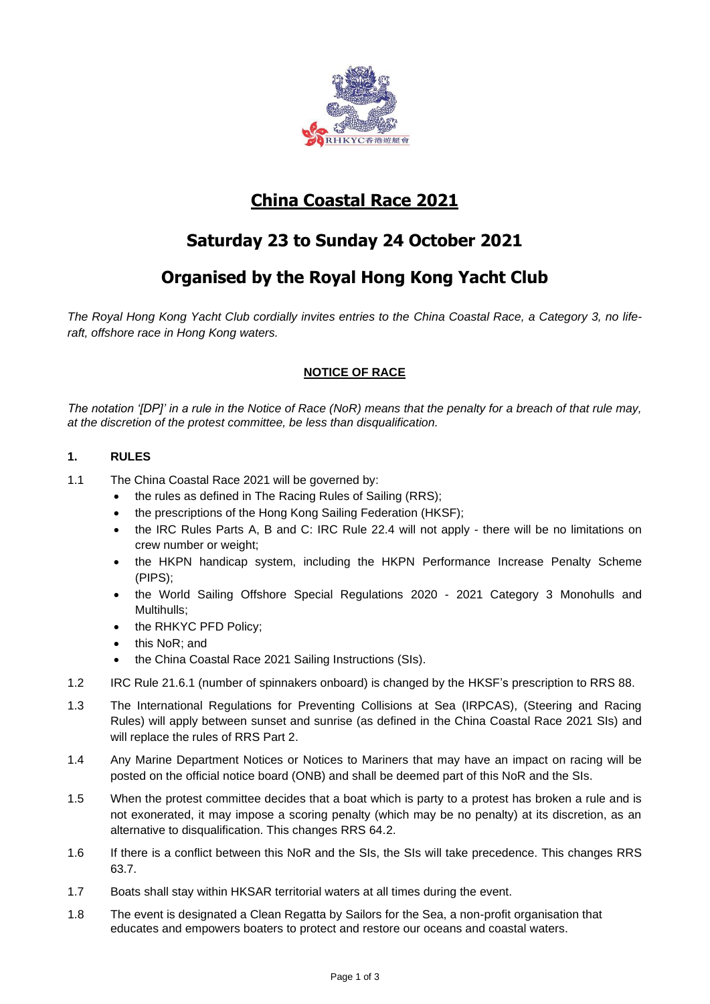

# **China Coastal Race 2021**

# **Saturday 23 to Sunday 24 October 2021**

## **Organised by the Royal Hong Kong Yacht Club**

*The Royal Hong Kong Yacht Club cordially invites entries to the China Coastal Race, a Category 3, no liferaft, offshore race in Hong Kong waters.*

## **NOTICE OF RACE**

*The notation '[DP]' in a rule in the Notice of Race (NoR) means that the penalty for a breach of that rule may, at the discretion of the protest committee, be less than disqualification.*

## **1. RULES**

- 1.1 The China Coastal Race 2021 will be governed by:
	- the rules as defined in The Racing Rules of Sailing (RRS);
	- the prescriptions of the Hong Kong Sailing Federation (HKSF);
	- the IRC Rules Parts A, B and C: IRC Rule 22.4 will not apply there will be no limitations on crew number or weight;
	- the HKPN handicap system, including the HKPN Performance Increase Penalty Scheme (PIPS);
	- the World Sailing Offshore Special Regulations 2020 2021 Category 3 Monohulls and Multihulls;
	- the RHKYC PFD Policy;
	- this NoR; and
	- the China Coastal Race 2021 Sailing Instructions (SIs).
- 1.2 IRC Rule 21.6.1 (number of spinnakers onboard) is changed by the HKSF's prescription to RRS 88.
- 1.3 The International Regulations for Preventing Collisions at Sea (IRPCAS), (Steering and Racing Rules) will apply between sunset and sunrise (as defined in the China Coastal Race 2021 SIs) and will replace the rules of RRS Part 2.
- 1.4 Any Marine Department Notices or Notices to Mariners that may have an impact on racing will be posted on the official notice board (ONB) and shall be deemed part of this NoR and the SIs.
- 1.5 When the protest committee decides that a boat which is party to a protest has broken a rule and is not exonerated, it may impose a scoring penalty (which may be no penalty) at its discretion, as an alternative to disqualification. This changes RRS 64.2.
- 1.6 If there is a conflict between this NoR and the SIs, the SIs will take precedence. This changes RRS 63.7.
- 1.7 Boats shall stay within HKSAR territorial waters at all times during the event.
- 1.8 The event is designated a Clean Regatta by Sailors for the Sea, a non-profit organisation that educates and empowers boaters to protect and restore our oceans and coastal waters.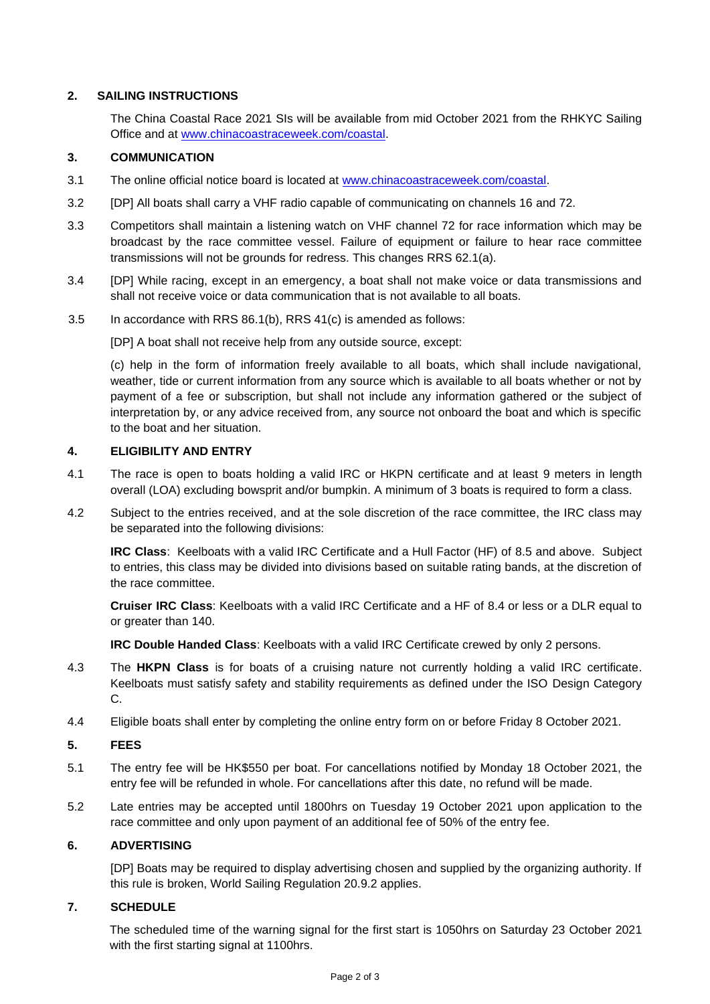## **2. SAILING INSTRUCTIONS**

The China Coastal Race 2021 SIs will be available from mid October 2021 from the RHKYC Sailing Office and at [www.chinacoastraceweek.com/coastal.](https://www.chinacoastraceweek.com/coastal)

## **3. COMMUNICATION**

- 3.1 The online official notice board is located at [www.chinacoastraceweek.com/coastal.](https://www.chinacoastraceweek.com/coastal)
- 3.2 [DP] All boats shall carry a VHF radio capable of communicating on channels 16 and 72.
- 3.3 Competitors shall maintain a listening watch on VHF channel 72 for race information which may be broadcast by the race committee vessel. Failure of equipment or failure to hear race committee transmissions will not be grounds for redress. This changes RRS 62.1(a).
- 3.4 [DP] While racing, except in an emergency, a boat shall not make voice or data transmissions and shall not receive voice or data communication that is not available to all boats.
- 3.5 In accordance with RRS 86.1(b), RRS 41(c) is amended as follows:

[DP] A boat shall not receive help from any outside source, except:

(c) help in the form of information freely available to all boats, which shall include navigational, weather, tide or current information from any source which is available to all boats whether or not by payment of a fee or subscription, but shall not include any information gathered or the subject of interpretation by, or any advice received from, any source not onboard the boat and which is specific to the boat and her situation.

## **4. ELIGIBILITY AND ENTRY**

- 4.1 The race is open to boats holding a valid IRC or HKPN certificate and at least 9 meters in length overall (LOA) excluding bowsprit and/or bumpkin. A minimum of 3 boats is required to form a class.
- 4.2 Subject to the entries received, and at the sole discretion of the race committee, the IRC class may be separated into the following divisions:

**IRC Class**: Keelboats with a valid IRC Certificate and a Hull Factor (HF) of 8.5 and above. Subject to entries, this class may be divided into divisions based on suitable rating bands, at the discretion of the race committee.

**Cruiser IRC Class**: Keelboats with a valid IRC Certificate and a HF of 8.4 or less or a DLR equal to or greater than 140.

**IRC Double Handed Class**: Keelboats with a valid IRC Certificate crewed by only 2 persons.

- 4.3 The **HKPN Class** is for boats of a cruising nature not currently holding a valid IRC certificate. Keelboats must satisfy safety and stability requirements as defined under the ISO Design Category C.
- 4.4 Eligible boats shall enter by completing the online entry form on or before Friday 8 October 2021.

## **5. FEES**

- 5.1 The entry fee will be HK\$550 per boat. For cancellations notified by Monday 18 October 2021, the entry fee will be refunded in whole. For cancellations after this date, no refund will be made.
- 5.2 Late entries may be accepted until 1800hrs on Tuesday 19 October 2021 upon application to the race committee and only upon payment of an additional fee of 50% of the entry fee.

## **6. ADVERTISING**

[DP] Boats may be required to display advertising chosen and supplied by the organizing authority. If this rule is broken, World Sailing Regulation 20.9.2 applies.

## **7. SCHEDULE**

The scheduled time of the warning signal for the first start is 1050hrs on Saturday 23 October 2021 with the first starting signal at 1100hrs.